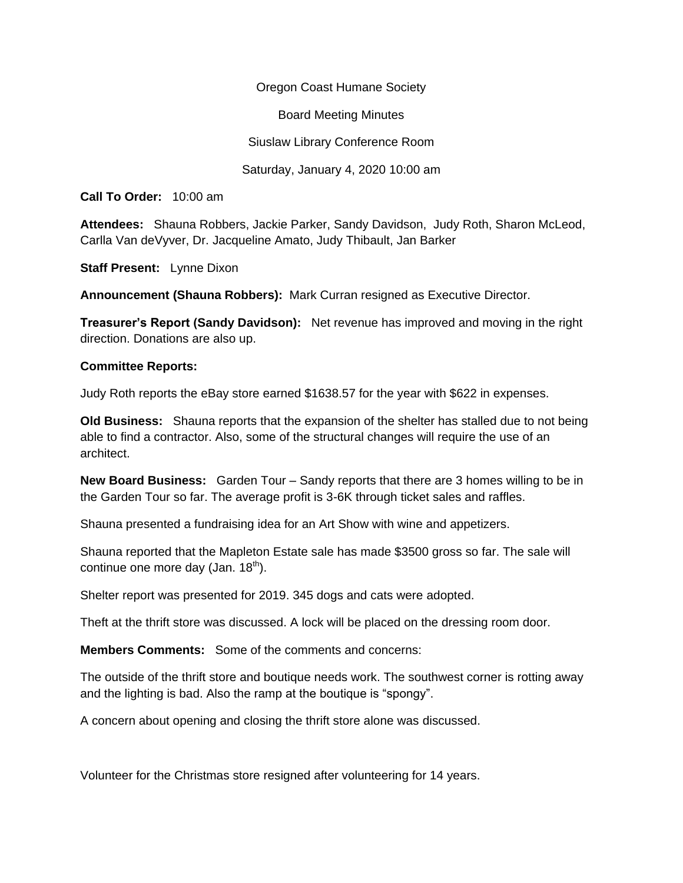Oregon Coast Humane Society Board Meeting Minutes Siuslaw Library Conference Room Saturday, January 4, 2020 10:00 am

**Call To Order:** 10:00 am

**Attendees:** Shauna Robbers, Jackie Parker, Sandy Davidson, Judy Roth, Sharon McLeod, Carlla Van deVyver, Dr. Jacqueline Amato, Judy Thibault, Jan Barker

**Staff Present:** Lynne Dixon

**Announcement (Shauna Robbers):** Mark Curran resigned as Executive Director.

**Treasurer's Report (Sandy Davidson):** Net revenue has improved and moving in the right direction. Donations are also up.

## **Committee Reports:**

Judy Roth reports the eBay store earned \$1638.57 for the year with \$622 in expenses.

**Old Business:** Shauna reports that the expansion of the shelter has stalled due to not being able to find a contractor. Also, some of the structural changes will require the use of an architect.

**New Board Business:** Garden Tour – Sandy reports that there are 3 homes willing to be in the Garden Tour so far. The average profit is 3-6K through ticket sales and raffles.

Shauna presented a fundraising idea for an Art Show with wine and appetizers.

Shauna reported that the Mapleton Estate sale has made \$3500 gross so far. The sale will continue one more day (Jan.  $18<sup>th</sup>$ ).

Shelter report was presented for 2019. 345 dogs and cats were adopted.

Theft at the thrift store was discussed. A lock will be placed on the dressing room door.

**Members Comments:** Some of the comments and concerns:

The outside of the thrift store and boutique needs work. The southwest corner is rotting away and the lighting is bad. Also the ramp at the boutique is "spongy".

A concern about opening and closing the thrift store alone was discussed.

Volunteer for the Christmas store resigned after volunteering for 14 years.